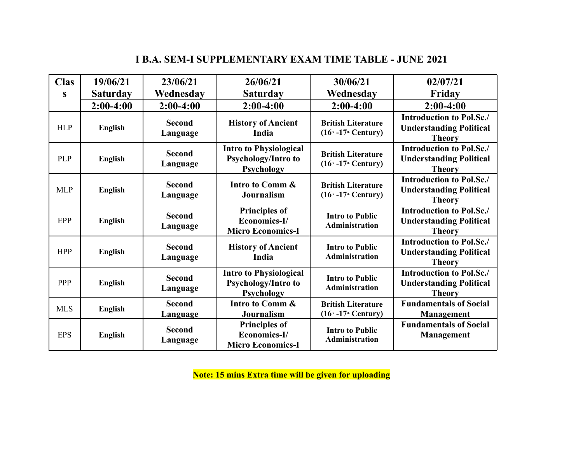# **I B.A. SEM-I SUPPLEMENTARY EXAM TIME TABLE - JUNE 2021**

| <b>Clas</b> | 19/06/21        | 23/06/21                  | 26/06/21                                                                  | 30/06/21                                             | 02/07/21                                                                           |
|-------------|-----------------|---------------------------|---------------------------------------------------------------------------|------------------------------------------------------|------------------------------------------------------------------------------------|
| S           | <b>Saturday</b> | Wednesday                 | <b>Saturday</b>                                                           | Wednesday                                            | Friday                                                                             |
|             | $2:00-4:00$     | $2:00-4:00$               | $2:00-4:00$                                                               | $2:00-4:00$                                          | $2:00-4:00$                                                                        |
| <b>HLP</b>  | <b>English</b>  | <b>Second</b><br>Language | <b>History of Ancient</b><br>India                                        | <b>British Literature</b><br>$(16m - 17m$ Century)   | <b>Introduction to Pol.Sc./</b><br><b>Understanding Political</b><br><b>Theory</b> |
| <b>PLP</b>  | <b>English</b>  | <b>Second</b><br>Language | <b>Intro to Physiological</b><br><b>Psychology/Intro to</b><br>Psychology | <b>British Literature</b><br>$(16th - 17th Century)$ | <b>Introduction to Pol.Sc./</b><br><b>Understanding Political</b><br><b>Theory</b> |
| <b>MLP</b>  | <b>English</b>  | <b>Second</b><br>Language | Intro to Comm &<br><b>Journalism</b>                                      | <b>British Literature</b><br>$(16th - 17th$ Century) | <b>Introduction to Pol.Sc./</b><br><b>Understanding Political</b><br><b>Theory</b> |
| <b>EPP</b>  | <b>English</b>  | <b>Second</b><br>Language | <b>Principles of</b><br>Economics-I/<br><b>Micro Economics-I</b>          | <b>Intro to Public</b><br><b>Administration</b>      | <b>Introduction to Pol.Sc./</b><br><b>Understanding Political</b><br><b>Theory</b> |
| <b>HPP</b>  | <b>English</b>  | <b>Second</b><br>Language | <b>History of Ancient</b><br>India                                        | <b>Intro to Public</b><br><b>Administration</b>      | <b>Introduction to Pol.Sc./</b><br><b>Understanding Political</b><br><b>Theory</b> |
| PPP         | <b>English</b>  | <b>Second</b><br>Language | <b>Intro to Physiological</b><br>Psychology/Intro to<br>Psychology        | <b>Intro to Public</b><br><b>Administration</b>      | <b>Introduction to Pol.Sc./</b><br><b>Understanding Political</b><br><b>Theory</b> |
| <b>MLS</b>  | <b>English</b>  | <b>Second</b><br>Language | Intro to Comm &<br><b>Journalism</b>                                      | <b>British Literature</b><br>$(16th - 17th$ Century) | <b>Fundamentals of Social</b><br><b>Management</b>                                 |
| <b>EPS</b>  | <b>English</b>  | <b>Second</b><br>Language | <b>Principles of</b><br>Economics-I/<br><b>Micro Economics-I</b>          | <b>Intro to Public</b><br>Administration             | <b>Fundamentals of Social</b><br><b>Management</b>                                 |

**Note: 15 mins Extra time will be given for uploading**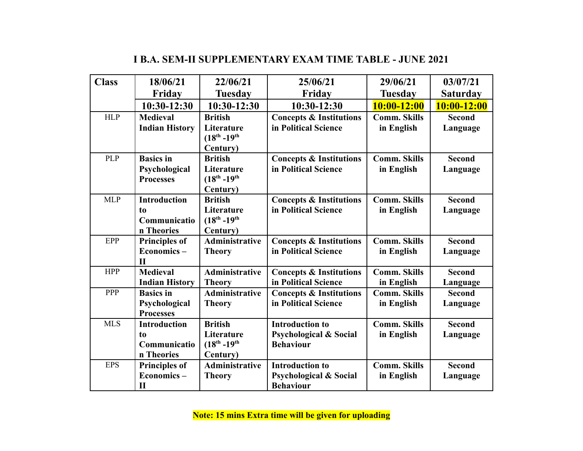| <b>Class</b> | 18/06/21              | 22/06/21                   | 25/06/21                           | 29/06/21            | 03/07/21        |
|--------------|-----------------------|----------------------------|------------------------------------|---------------------|-----------------|
|              | Friday                | <b>Tuesday</b>             | Friday                             | Tuesday             | <b>Saturday</b> |
|              | 10:30-12:30           | 10:30-12:30                | 10:30-12:30                        | 10:00-12:00         | 10:00-12:00     |
| <b>HLP</b>   | <b>Medieval</b>       | <b>British</b>             | <b>Concepts &amp; Institutions</b> | <b>Comm. Skills</b> | <b>Second</b>   |
|              | <b>Indian History</b> | Literature                 | in Political Science               | in English          | Language        |
|              |                       | $(18^{th} - 19^{th}$       |                                    |                     |                 |
| <b>PLP</b>   | <b>Basics in</b>      | Century)<br><b>British</b> | <b>Concepts &amp; Institutions</b> | <b>Comm. Skills</b> | <b>Second</b>   |
|              | Psychological         | Literature                 | in Political Science               | in English          | Language        |
|              | <b>Processes</b>      | $(18^{th} - 19^{th}$       |                                    |                     |                 |
|              |                       | Century)                   |                                    |                     |                 |
| <b>MLP</b>   | <b>Introduction</b>   | <b>British</b>             | <b>Concepts &amp; Institutions</b> | <b>Comm. Skills</b> | <b>Second</b>   |
|              | t <sub>0</sub>        | Literature                 | in Political Science               | in English          | Language        |
|              | Communicatio          | $(18^{th} - 19^{th}$       |                                    |                     |                 |
|              | n Theories            | Century)                   |                                    |                     |                 |
| EPP          | <b>Principles of</b>  | Administrative             | <b>Concepts &amp; Institutions</b> | <b>Comm. Skills</b> | <b>Second</b>   |
|              | Economics-            | <b>Theory</b>              | in Political Science               | in English          | Language        |
|              | $\mathbf{I}$          |                            |                                    |                     |                 |
| <b>HPP</b>   | <b>Medieval</b>       | Administrative             | <b>Concepts &amp; Institutions</b> | <b>Comm. Skills</b> | <b>Second</b>   |
|              | <b>Indian History</b> | <b>Theory</b>              | in Political Science               | in English          | Language        |
| <b>PPP</b>   | <b>Basics in</b>      | Administrative             | <b>Concepts &amp; Institutions</b> | <b>Comm. Skills</b> | <b>Second</b>   |
|              | Psychological         | <b>Theory</b>              | in Political Science               | in English          | Language        |
|              | <b>Processes</b>      |                            |                                    |                     |                 |
| <b>MLS</b>   | <b>Introduction</b>   | <b>British</b>             | <b>Introduction to</b>             | <b>Comm. Skills</b> | <b>Second</b>   |
|              | t <sub>0</sub>        | Literature                 | <b>Psychological &amp; Social</b>  | in English          | Language        |
|              | Communicatio          | $(18^{th} - 19^{th}$       | <b>Behaviour</b>                   |                     |                 |
|              | n Theories            | Century)                   |                                    |                     |                 |
| <b>EPS</b>   | <b>Principles of</b>  | Administrative             | <b>Introduction to</b>             | <b>Comm. Skills</b> | <b>Second</b>   |
|              | Economics-            | <b>Theory</b>              | <b>Psychological &amp; Social</b>  | in English          | Language        |
|              | $\mathbf{I}$          |                            | <b>Behaviour</b>                   |                     |                 |

## **I B.A. SEM-II SUPPLEMENTARY EXAM TIME TABLE - JUNE 2021**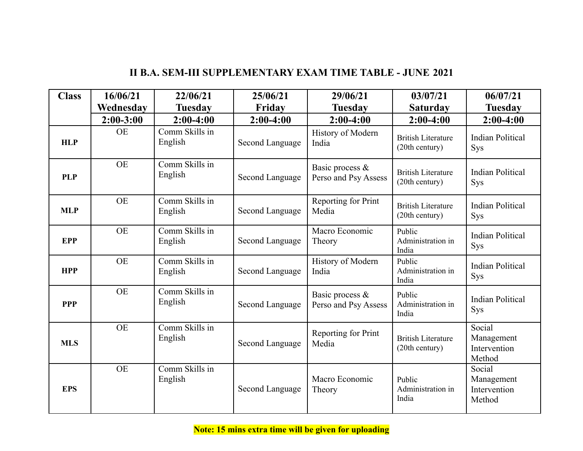| <b>Class</b> | 16/06/21    | 22/06/21                  | 25/06/21        | 29/06/21                                | 03/07/21                                    | 06/07/21                                       |
|--------------|-------------|---------------------------|-----------------|-----------------------------------------|---------------------------------------------|------------------------------------------------|
|              | Wednesday   | <b>Tuesday</b>            | Friday          | <b>Tuesday</b>                          | <b>Saturday</b>                             | <b>Tuesday</b>                                 |
|              | $2:00-3:00$ | $2:00-4:00$               | $2:00-4:00$     | $2:00-4:00$                             | $2:00-4:00$                                 | $2:00-4:00$                                    |
| <b>HLP</b>   | <b>OE</b>   | Comm Skills in<br>English | Second Language | History of Modern<br>India              | <b>British Literature</b><br>(20th century) | <b>Indian Political</b><br><b>Sys</b>          |
| <b>PLP</b>   | <b>OE</b>   | Comm Skills in<br>English | Second Language | Basic process &<br>Perso and Psy Assess | <b>British Literature</b><br>(20th century) | <b>Indian Political</b><br>Sys                 |
| <b>MLP</b>   | <b>OE</b>   | Comm Skills in<br>English | Second Language | Reporting for Print<br>Media            | <b>British Literature</b><br>(20th century) | <b>Indian Political</b><br><b>Sys</b>          |
| <b>EPP</b>   | <b>OE</b>   | Comm Skills in<br>English | Second Language | Macro Economic<br>Theory                | Public<br>Administration in<br>India        | <b>Indian Political</b><br><b>Sys</b>          |
| <b>HPP</b>   | <b>OE</b>   | Comm Skills in<br>English | Second Language | History of Modern<br>India              | Public<br>Administration in<br>India        | <b>Indian Political</b><br><b>Sys</b>          |
| <b>PPP</b>   | <b>OE</b>   | Comm Skills in<br>English | Second Language | Basic process &<br>Perso and Psy Assess | Public<br>Administration in<br>India        | <b>Indian Political</b><br><b>Sys</b>          |
| <b>MLS</b>   | <b>OE</b>   | Comm Skills in<br>English | Second Language | Reporting for Print<br>Media            | <b>British Literature</b><br>(20th century) | Social<br>Management<br>Intervention<br>Method |
| <b>EPS</b>   | <b>OE</b>   | Comm Skills in<br>English | Second Language | Macro Economic<br>Theory                | Public<br>Administration in<br>India        | Social<br>Management<br>Intervention<br>Method |

### **II B.A. SEM-III SUPPLEMENTARY EXAM TIME TABLE - JUNE 2021**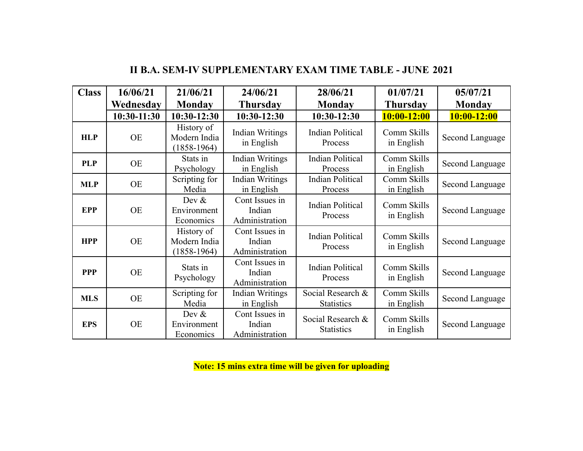| <b>Class</b> | 16/06/21      | 21/06/21                                    | 24/06/21                                   | 28/06/21                               | 01/07/21                  | 05/07/21        |
|--------------|---------------|---------------------------------------------|--------------------------------------------|----------------------------------------|---------------------------|-----------------|
|              | Wednesday     | Monday                                      | <b>Thursday</b>                            | <b>Monday</b>                          | <b>Thursday</b>           | <b>Monday</b>   |
|              | $10:30-11:30$ | 10:30-12:30                                 | $10:30-12:30$                              | 10:30-12:30                            | $10:00 - 12:00$           | $10:00 - 12:00$ |
| <b>HLP</b>   | <b>OE</b>     | History of<br>Modern India<br>$(1858-1964)$ | <b>Indian Writings</b><br>in English       | <b>Indian Political</b><br>Process     | Comm Skills<br>in English | Second Language |
| <b>PLP</b>   | <b>OE</b>     | Stats in<br>Psychology                      | <b>Indian Writings</b><br>in English       | <b>Indian Political</b><br>Process     | Comm Skills<br>in English | Second Language |
| <b>MLP</b>   | <b>OE</b>     | Scripting for<br>Media                      | <b>Indian Writings</b><br>in English       | <b>Indian Political</b><br>Process     | Comm Skills<br>in English | Second Language |
| <b>EPP</b>   | <b>OE</b>     | Dev $&$<br>Environment<br>Economics         | Cont Issues in<br>Indian<br>Administration | <b>Indian Political</b><br>Process     | Comm Skills<br>in English | Second Language |
| <b>HPP</b>   | <b>OE</b>     | History of<br>Modern India<br>$(1858-1964)$ | Cont Issues in<br>Indian<br>Administration | <b>Indian Political</b><br>Process     | Comm Skills<br>in English | Second Language |
| <b>PPP</b>   | <b>OE</b>     | Stats in<br>Psychology                      | Cont Issues in<br>Indian<br>Administration | <b>Indian Political</b><br>Process     | Comm Skills<br>in English | Second Language |
| <b>MLS</b>   | <b>OE</b>     | Scripting for<br>Media                      | <b>Indian Writings</b><br>in English       | Social Research &<br><b>Statistics</b> | Comm Skills<br>in English | Second Language |
| <b>EPS</b>   | <b>OE</b>     | Dev $&$<br>Environment<br>Economics         | Cont Issues in<br>Indian<br>Administration | Social Research &<br><b>Statistics</b> | Comm Skills<br>in English | Second Language |

### **II B.A. SEM-IV SUPPLEMENTARY EXAM TIME TABLE - JUNE 2021**

**Note: 15 mins extra time will be given for uploading**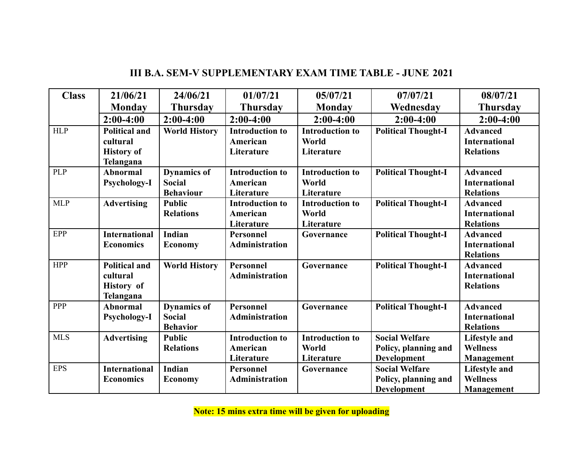| <b>Class</b> | 21/06/21                                                           | 24/06/21                                                | 01/07/21                                         | 05/07/21                                      | 07/07/21                                                     | 08/07/21                                                     |
|--------------|--------------------------------------------------------------------|---------------------------------------------------------|--------------------------------------------------|-----------------------------------------------|--------------------------------------------------------------|--------------------------------------------------------------|
|              | <b>Monday</b>                                                      | <b>Thursday</b>                                         | <b>Thursday</b>                                  | Monday                                        | Wednesday                                                    | <b>Thursday</b>                                              |
|              | $2:00-4:00$                                                        | $2:00-4:00$                                             | $2:00-4:00$                                      | $2:00-4:00$                                   | $2:00-4:00$                                                  | $2:00-4:00$                                                  |
| <b>HLP</b>   | <b>Political and</b><br>cultural<br><b>History of</b><br>Telangana | <b>World History</b>                                    | <b>Introduction to</b><br>American<br>Literature | <b>Introduction to</b><br>World<br>Literature | <b>Political Thought-I</b>                                   | <b>Advanced</b><br><b>International</b><br><b>Relations</b>  |
| <b>PLP</b>   | <b>Abnormal</b><br>Psychology-I                                    | <b>Dynamics of</b><br><b>Social</b><br><b>Behaviour</b> | <b>Introduction to</b><br>American<br>Literature | <b>Introduction to</b><br>World<br>Literature | <b>Political Thought-I</b>                                   | <b>Advanced</b><br><b>International</b><br><b>Relations</b>  |
| <b>MLP</b>   | <b>Advertising</b>                                                 | <b>Public</b><br><b>Relations</b>                       | <b>Introduction to</b><br>American<br>Literature | <b>Introduction to</b><br>World<br>Literature | <b>Political Thought-I</b>                                   | <b>Advanced</b><br><b>International</b><br><b>Relations</b>  |
| EPP          | <b>International</b><br><b>Economics</b>                           | Indian<br><b>Economy</b>                                | <b>Personnel</b><br>Administration               | Governance                                    | <b>Political Thought-I</b>                                   | <b>Advanced</b><br><b>International</b><br><b>Relations</b>  |
| <b>HPP</b>   | <b>Political and</b><br>cultural<br><b>History</b> of<br>Telangana | <b>World History</b>                                    | Personnel<br><b>Administration</b>               | Governance                                    | <b>Political Thought-I</b>                                   | <b>Advanced</b><br><b>International</b><br><b>Relations</b>  |
| <b>PPP</b>   | <b>Abnormal</b><br>Psychology-I                                    | <b>Dynamics of</b><br>Social<br><b>Behavior</b>         | Personnel<br>Administration                      | Governance                                    | <b>Political Thought-I</b>                                   | <b>Advanced</b><br><b>International</b><br><b>Relations</b>  |
| <b>MLS</b>   | <b>Advertising</b>                                                 | <b>Public</b><br><b>Relations</b>                       | <b>Introduction to</b><br>American<br>Literature | <b>Introduction to</b><br>World<br>Literature | <b>Social Welfare</b><br>Policy, planning and<br>Development | <b>Lifestyle and</b><br><b>Wellness</b><br><b>Management</b> |
| <b>EPS</b>   | <b>International</b><br><b>Economics</b>                           | Indian<br><b>Economy</b>                                | <b>Personnel</b><br><b>Administration</b>        | Governance                                    | <b>Social Welfare</b><br>Policy, planning and<br>Development | <b>Lifestyle and</b><br><b>Wellness</b><br>Management        |

### **III B.A. SEM-V SUPPLEMENTARY EXAM TIME TABLE - JUNE 2021**

**Note: 15 mins extra time will be given for uploading**